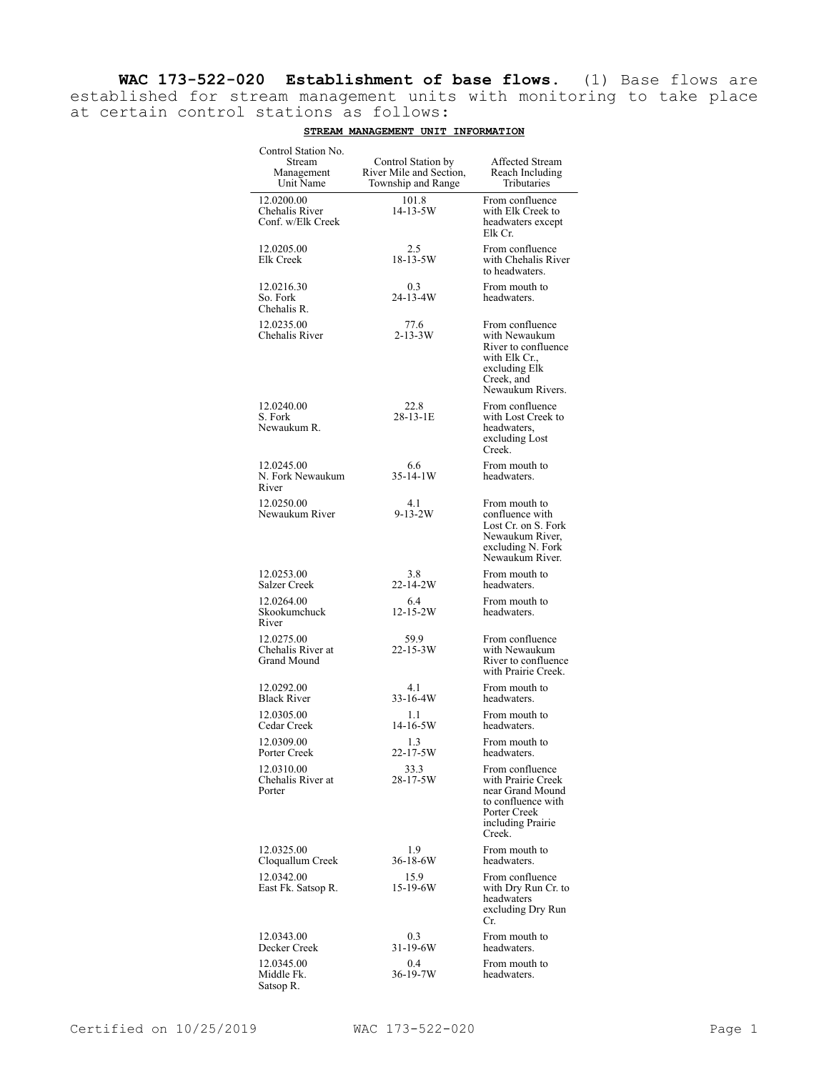**WAC 173-522-020 Establishment of base flows.** (1) Base flows are established for stream management units with monitoring to take place at certain control stations as follows:

| Control Station No.<br>Stream<br>Management<br>Unit Name | Control Station by<br>River Mile and Section,<br>Township and Range | Affected Stream<br>Reach Including<br>Tributaries                                                                              |
|----------------------------------------------------------|---------------------------------------------------------------------|--------------------------------------------------------------------------------------------------------------------------------|
| 12.0200.00<br>Chehalis River<br>Conf. w/Elk Creek        | 101.8<br>14-13-5W                                                   | From confluence<br>with Elk Creek to<br>headwaters except<br>Elk Cr.                                                           |
| 12.0205.00<br>Elk Creek                                  | 2.5<br>18-13-5W                                                     | From confluence<br>with Chehalis River<br>to headwaters.                                                                       |
| 12.0216.30<br>So. Fork<br>Chehalis R.                    | 0.3<br>24-13-4W                                                     | From mouth to<br>headwaters.                                                                                                   |
| 12.0235.00<br>Chehalis River                             | 77.6<br>$2 - 13 - 3W$                                               | From confluence<br>with Newaukum<br>River to confluence<br>with Elk Cr.,<br>excluding Elk<br>Creek, and<br>Newaukum Rivers.    |
| 12.0240.00<br>S. Fork<br>Newaukum R.                     | 22.8<br>$28 - 13 - 1E$                                              | From confluence<br>with Lost Creek to<br>headwaters,<br>excluding Lost<br>Creek.                                               |
| 12.0245.00<br>N. Fork Newaukum<br>River                  | 6.6<br>$35-14-1W$                                                   | From mouth to<br>headwaters.                                                                                                   |
| 12.0250.00<br>Newaukum River                             | 4.1<br>$9 - 13 - 2W$                                                | From mouth to<br>confluence with<br>Lost Cr. on S. Fork<br>Newaukum River,<br>excluding N. Fork<br>Newaukum River.             |
| 12.0253.00<br>Salzer Creek                               | 3.8<br>22-14-2W                                                     | From mouth to<br>headwaters.                                                                                                   |
| 12.0264.00<br>Skookumchuck<br>River                      | 6.4<br>$12 - 15 - 2W$                                               | From mouth to<br>headwaters.                                                                                                   |
| 12.0275.00<br>Chehalis River at<br>Grand Mound           | 59.9<br>$22 - 15 - 3W$                                              | From confluence<br>with Newaukum<br>River to confluence<br>with Prairie Creek.                                                 |
| 12.0292.00<br><b>Black River</b>                         | 4.1<br>33-16-4W                                                     | From mouth to<br>headwaters.                                                                                                   |
| 12.0305.00<br>Cedar Creek                                | 1.1<br>$14 - 16 - 5W$                                               | From mouth to<br>headwaters.                                                                                                   |
| 12.0309.00<br>Porter Creek                               | 1.3<br>22-17-5W                                                     | From mouth to<br>headwaters.                                                                                                   |
| 12.0310.00<br>Chehalis River at<br>Porter                | 33.3<br>28-17-5W                                                    | From confluence<br>with Prairie Creek<br>near Grand Mound<br>to confluence with<br>Porter Creek<br>including Prairie<br>Creek. |
| 12.0325.00<br>Cloquallum Creek                           | 1.9<br>36-18-6W                                                     | From mouth to<br>headwaters.                                                                                                   |
| 12.0342.00<br>East Fk. Satsop R.                         | 15.9<br>15-19-6W                                                    | From confluence<br>with Dry Run Cr. to<br>headwaters<br>excluding Dry Run<br>Cr.                                               |
| 12.0343.00<br>Decker Creek                               | 0.3<br>31-19-6W                                                     | From mouth to<br>headwaters.                                                                                                   |
| 12.0345.00<br>Middle Fk.<br>Satsop R.                    | 0.4<br>36-19-7W                                                     | From mouth to<br>headwaters.                                                                                                   |

## **STREAM MANAGEMENT UNIT INFORMATION**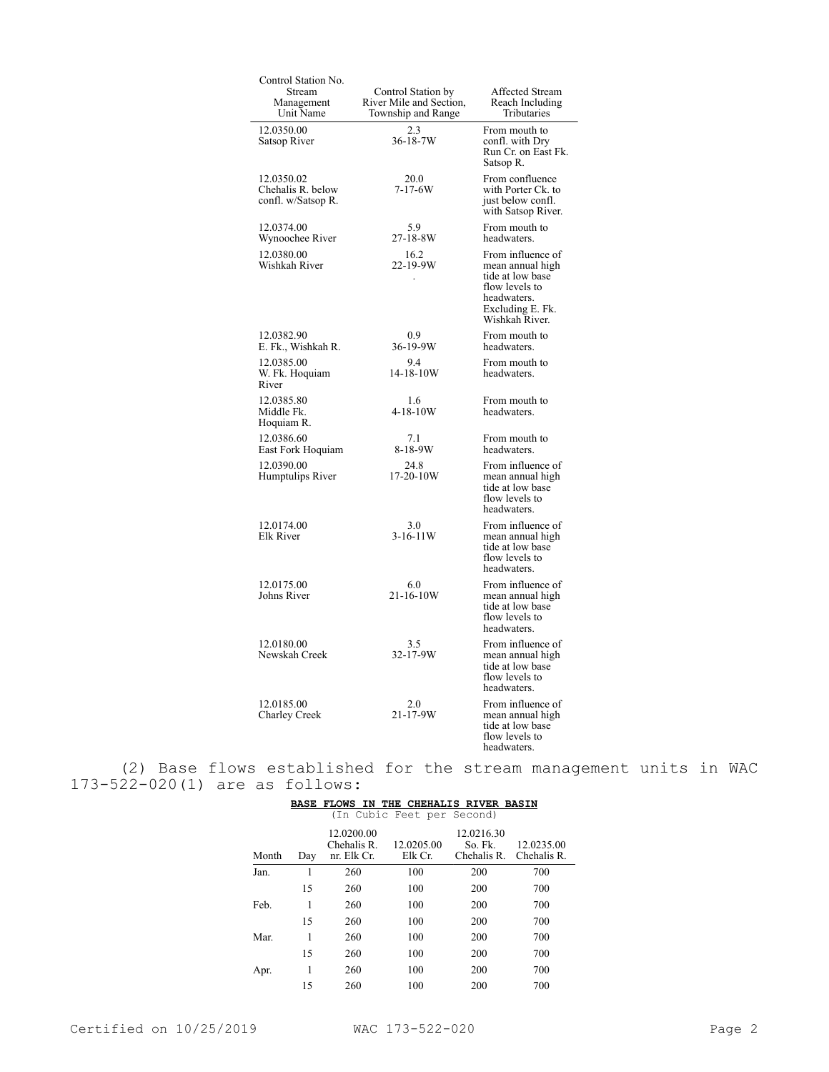| Control Station No.<br>Stream                         | Control Station by                            | Affected Stream                                                                                                                  |
|-------------------------------------------------------|-----------------------------------------------|----------------------------------------------------------------------------------------------------------------------------------|
| Management<br>Unit Name                               | River Mile and Section,<br>Township and Range | Reach Including<br>Tributaries                                                                                                   |
| 12.0350.00<br>Satsop River                            | 2.3<br>$36 - 18 - 7W$                         | From mouth to<br>confl. with Dry<br>Run Cr. on East Fk.<br>Satsop R.                                                             |
| 12.0350.02<br>Chehalis R. below<br>confl. w/Satsop R. | 20.0<br>$7 - 17 - 6W$                         | From confluence<br>with Porter Ck. to<br>just below confl.<br>with Satsop River.                                                 |
| 12.0374.00<br>Wynoochee River                         | 5.9<br>27-18-8W                               | From mouth to<br>headwaters.                                                                                                     |
| 12.0380.00<br>Wishkah River                           | 16.2<br>22-19-9W                              | From influence of<br>mean annual high<br>tide at low base<br>flow levels to<br>headwaters.<br>Excluding E. Fk.<br>Wishkah River. |
| 12.0382.90<br>E. Fk., Wishkah R.                      | 0.9<br>36-19-9W                               | From mouth to<br>headwaters.                                                                                                     |
| 12.0385.00<br>W. Fk. Hoquiam<br>River                 | 9.4<br>14-18-10W                              | From mouth to<br>headwaters.                                                                                                     |
| 12.0385.80<br>Middle Fk.<br>Hoquiam R.                | 1.6<br>$4 - 18 - 10W$                         | From mouth to<br>headwaters.                                                                                                     |
| 12.0386.60<br>East Fork Hoquiam                       | 7.1<br>8-18-9W                                | From mouth to<br>headwaters.                                                                                                     |
| 12.0390.00<br>Humptulips River                        | 24.8<br>$17-20-10W$                           | From influence of<br>mean annual high<br>tide at low base<br>flow levels to<br>headwaters.                                       |
| 12.0174.00<br>Elk River                               | 3.0<br>$3-16-11W$                             | From influence of<br>mean annual high<br>tide at low base<br>flow levels to<br>headwaters.                                       |
| 12.0175.00<br>Johns River                             | 6.0<br>21-16-10W                              | From influence of<br>mean annual high<br>tide at low base<br>flow levels to<br>headwaters.                                       |
| 12.0180.00<br>Newskah Creek                           | 3.5<br>32-17-9W                               | From influence of<br>mean annual high<br>tide at low base<br>flow levels to<br>headwaters.                                       |
| 12.0185.00<br>Charley Creek                           | 2.0<br>$21 - 17 - 9W$                         | From influence of<br>mean annual high<br>tide at low base<br>flow levels to<br>headwaters.                                       |

(2) Base flows established for the stream management units in WAC 173-522-020(1) are as follows:

| as    |             | TOTTOMS.                   |                            |                             |                           |
|-------|-------------|----------------------------|----------------------------|-----------------------------|---------------------------|
|       | <b>BASE</b> | <b>FLOWS</b><br>IN         | THE                        | <b>CHEHALIS RIVER BASIN</b> |                           |
|       |             |                            | (In Cubic Feet per Second) |                             |                           |
|       |             | 12.0200.00                 |                            | 12.0216.30                  |                           |
| Month | Day         | Chehalis R.<br>nr. Elk Cr. | 12.0205.00<br>Elk Cr.      | So. Fk.<br>Chehalis R.      | 12.0235.00<br>Chehalis R. |
|       |             |                            |                            |                             |                           |
| Jan.  | 1           | 260                        | 100                        | 200                         | 700                       |
|       | 15          | 260                        | 100                        | 200                         | 700                       |
| Feb.  | 1           | 260                        | 100                        | 200                         | 700                       |
|       | 15          | 260                        | 100                        | 200                         | 700                       |
| Mar.  | 1           | 260                        | 100                        | 200                         | 700                       |
|       | 15          | 260                        | 100                        | 200                         | 700                       |
| Apr.  | 1           | 260                        | 100                        | 200                         | 700                       |
|       | 15          | 260                        | 100                        | 200                         | 700                       |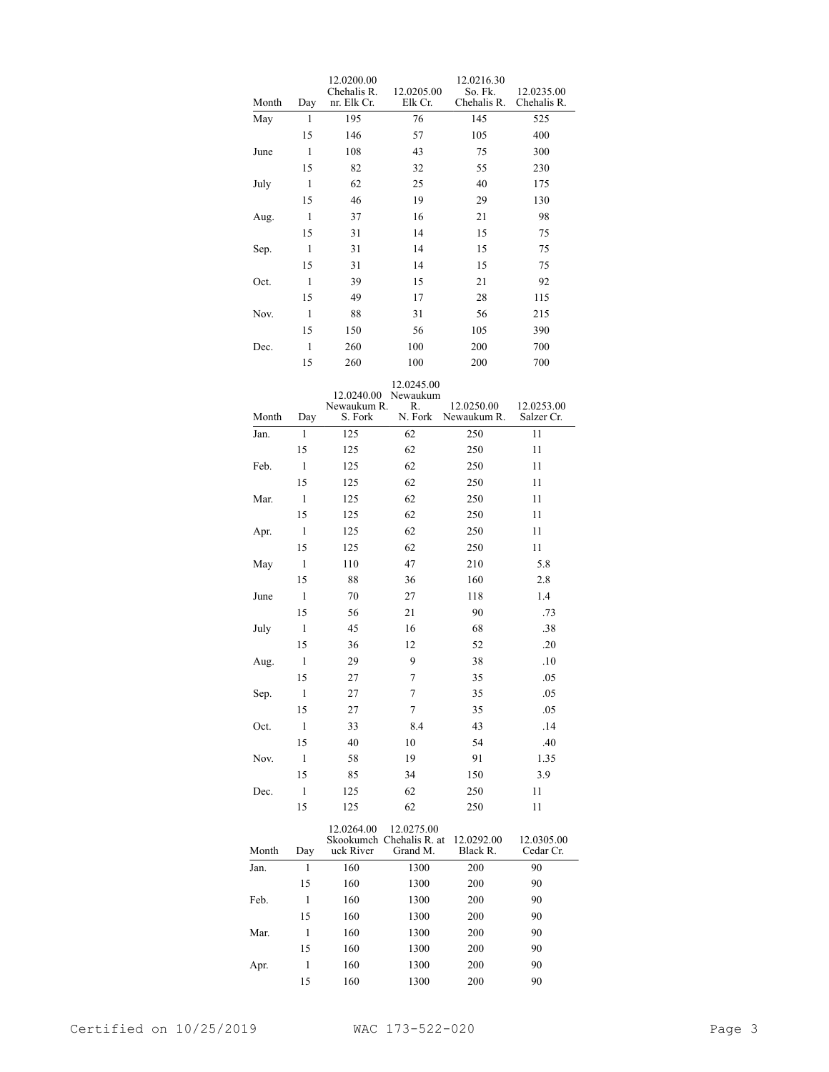| Month | Day | 12.0200.00<br>Chehalis R.<br>nr. Elk Cr. | 12.0205.00<br>Elk Cr.                              | 12.0216.30<br>So. Fk.<br>Chehalis R. | 12.0235.00<br>Chehalis R. |
|-------|-----|------------------------------------------|----------------------------------------------------|--------------------------------------|---------------------------|
| May   | 1   | 195                                      | 76                                                 | 145                                  | 525                       |
|       | 15  | 146                                      | 57                                                 | 105                                  | 400                       |
| June  | 1   | 108                                      | 43                                                 | 75                                   | 300                       |
|       | 15  | 82                                       | 32                                                 | 55                                   | 230                       |
| July  | 1   | 62                                       | 25                                                 | 40                                   | 175                       |
|       | 15  | 46                                       | 19                                                 | 29                                   | 130                       |
| Aug.  | 1   | 37                                       | 16                                                 | 21                                   | 98                        |
|       | 15  | 31                                       | 14                                                 | 15                                   | 75                        |
| Sep.  | 1   | 31                                       | 14                                                 | 15                                   | 75                        |
|       | 15  | 31                                       | 14                                                 | 15                                   | 75                        |
| Oct.  | 1   | 39                                       | 15                                                 | 21                                   | 92                        |
|       | 15  | 49                                       | 17                                                 | 28                                   | 115                       |
| Nov.  | 1   | 88                                       | 31                                                 | 56                                   | 215                       |
|       | 15  | 150                                      | 56                                                 | 105                                  | 390                       |
|       | 1   |                                          |                                                    |                                      |                           |
| Dec.  |     | 260                                      | 100                                                | 200                                  | 700                       |
|       | 15  | 260                                      | 100                                                | 200                                  | 700                       |
|       |     |                                          | 12.0245.00                                         |                                      |                           |
|       |     | 12.0240.00<br>Newaukum R.                | Newaukum<br>R.                                     | 12.0250.00                           | 12.0253.00                |
| Month | Day | S. Fork                                  | N. Fork                                            | Newaukum R.                          | Salzer Cr.                |
| Jan.  | 1   | 125                                      | 62                                                 | 250                                  | 11                        |
|       | 15  | 125                                      | 62                                                 | 250                                  | 11                        |
| Feb.  | 1   | 125                                      | 62                                                 | 250                                  | 11                        |
|       | 15  | 125                                      | 62                                                 | 250                                  | 11                        |
| Mar.  | 1   | 125                                      | 62                                                 | 250                                  | 11                        |
|       | 15  | 125                                      | 62                                                 | 250                                  | 11                        |
| Apr.  | 1   | 125                                      | 62                                                 | 250                                  | 11                        |
|       | 15  | 125                                      | 62                                                 | 250                                  | 11                        |
| May   | 1   | 110                                      | 47                                                 | 210                                  | 5.8                       |
|       | 15  | 88                                       | 36                                                 | 160                                  | 2.8                       |
| June  | 1   | 70                                       | 27                                                 | 118                                  | 1.4                       |
|       | 15  | 56                                       | 21                                                 | 90                                   | .73                       |
| July  | 1   | 45                                       | 16                                                 | 68                                   | .38                       |
|       | 15  | 36                                       | 12                                                 | 52                                   | .20                       |
| Aug.  | 1   | 29                                       | 9                                                  | 38                                   | .10                       |
|       | 15  | 27                                       | 7                                                  | 35                                   | .05                       |
| Sep.  | 1   | 27                                       | 7                                                  | 35                                   | .05                       |
|       | 15  | 27                                       | 7                                                  | 35                                   | .05                       |
| Oct.  | 1   | 33                                       | 8.4                                                | 43                                   | .14                       |
|       | 15  | 40                                       | 10                                                 | 54                                   | .40                       |
| Nov.  | 1   | 58                                       | 19                                                 | 91                                   | 1.35                      |
|       | 15  | 85                                       | 34                                                 | 150                                  | 3.9                       |
| Dec.  | 1   | 125                                      | 62                                                 | 250                                  | 11                        |
|       | 15  | 125                                      | 62                                                 | 250                                  | 11                        |
|       |     |                                          |                                                    |                                      |                           |
| Month | Day | 12.0264.00<br>uck River                  | 12.0275.00<br>Skookumch Chehalis R. at<br>Grand M. | 12.0292.00<br>Black R.               | 12.0305.00<br>Cedar Cr.   |

| Month | Day | uck River | Grand M. | Black R. | <br>Cedar Cr. |
|-------|-----|-----------|----------|----------|---------------|
| Jan.  |     | 160       | 1300     | 200      | 90            |
|       | 15  | 160       | 1300     | 200      | 90            |
| Feb.  | 1   | 160       | 1300     | 200      | 90            |
|       | 15  | 160       | 1300     | 200      | 90            |
| Mar.  |     | 160       | 1300     | 200      | 90            |
|       | 15  | 160       | 1300     | 200      | 90            |
| Apr.  | 1   | 160       | 1300     | 200      | 90            |
|       | 15  | 160       | 1300     | 200      | 90            |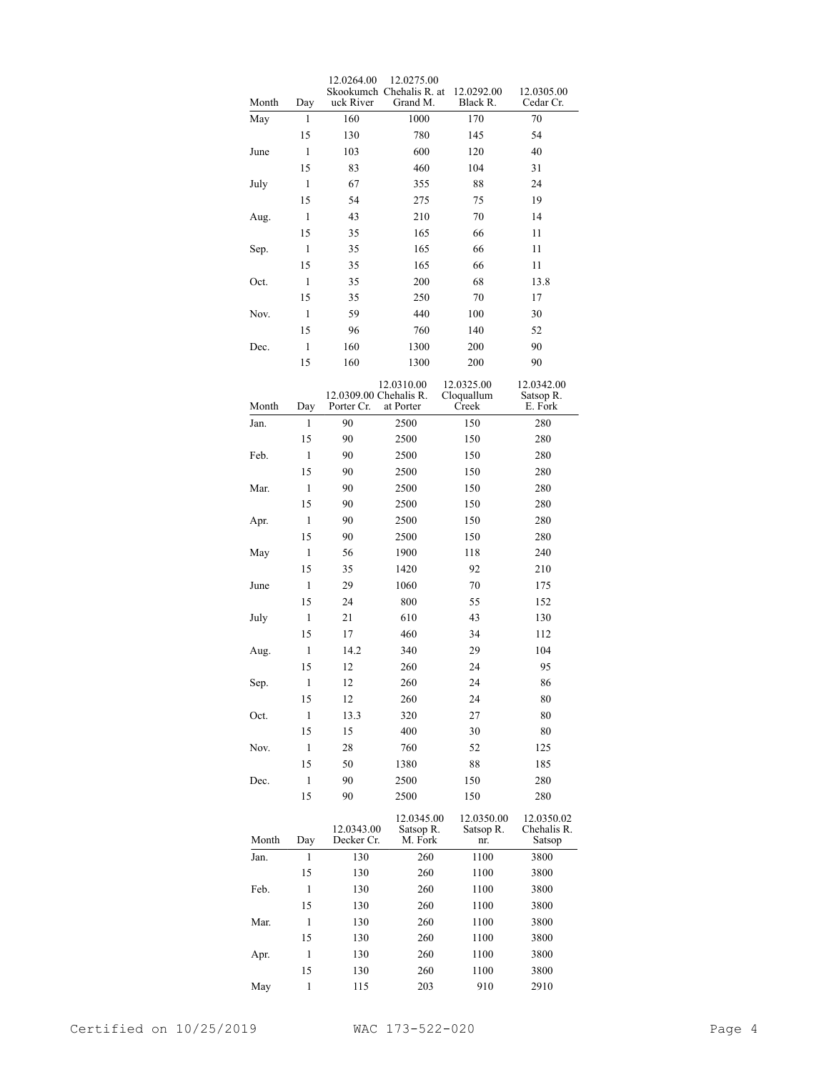| Month | Day          | 12.0264.00<br>uck River              | 12.0275.00<br>Skookumch Chehalis R. at<br>Grand M. | 12.0292.00<br>Black R.            | 12.0305.00<br>Cedar Cr.             |
|-------|--------------|--------------------------------------|----------------------------------------------------|-----------------------------------|-------------------------------------|
| May   | 1            | 160                                  | 1000                                               | 170                               | 70                                  |
|       | 15           | 130                                  | 780                                                | 145                               | 54                                  |
| June  | 1            | 103                                  | 600                                                | 120                               | 40                                  |
|       | 15           | 83                                   | 460                                                | 104                               | 31                                  |
| July  | 1            | 67                                   | 355                                                | 88                                | 24                                  |
|       | 15           | 54                                   | 275                                                | 75                                | 19                                  |
| Aug.  | 1            | 43                                   | 210                                                | 70                                | 14                                  |
|       | 15           | 35                                   | 165                                                | 66                                | 11                                  |
| Sep.  | 1            | 35                                   | 165                                                | 66                                | 11                                  |
|       | 15           | 35                                   | 165                                                | 66                                | 11                                  |
| Oct.  | 1            | 35                                   | 200                                                | 68                                | 13.8                                |
|       | 15           | 35                                   | 250                                                | 70                                | 17                                  |
| Nov.  | 1            | 59                                   | 440                                                | 100                               | 30                                  |
|       | 15           | 96                                   | 760                                                | 140                               | 52                                  |
|       |              |                                      |                                                    |                                   |                                     |
| Dec.  | $\mathbf{1}$ | 160                                  | 1300                                               | 200                               | 90                                  |
|       | 15           | 160                                  | 1300                                               | 200                               | 90                                  |
| Month | Day          | 12.0309.00 Chehalis R.<br>Porter Cr. | 12.0310.00<br>at Porter                            | 12.0325.00<br>Cloquallum<br>Creek | 12.0342.00<br>Satsop R.<br>E. Fork  |
| Jan.  | 1            | 90                                   | 2500                                               | 150                               | 280                                 |
|       | 15           | 90                                   | 2500                                               | 150                               | 280                                 |
| Feb.  | 1            | 90                                   | 2500                                               | 150                               | 280                                 |
|       | 15           | 90                                   | 2500                                               | 150                               | 280                                 |
| Mar.  | 1            | 90                                   | 2500                                               | 150                               | 280                                 |
|       | 15           | 90                                   | 2500                                               | 150                               |                                     |
|       |              |                                      |                                                    |                                   | 280                                 |
| Apr.  | 1            | 90                                   | 2500                                               | 150                               | 280                                 |
|       | 15           | 90                                   | 2500                                               | 150                               | 280                                 |
| May   | 1            | 56                                   | 1900                                               | 118                               | 240                                 |
|       | 15           | 35                                   | 1420                                               | 92                                | 210                                 |
| June  | 1            | 29                                   | 1060                                               | 70                                | 175                                 |
|       | 15           | 24                                   | 800                                                | 55                                | 152                                 |
| July  | 1            | 21                                   | 610                                                | 43                                | 130                                 |
|       | 15           | 17                                   | 460                                                | 34                                | 112                                 |
| Aug.  | 1            | 14.2                                 | 340                                                | 29                                | 104                                 |
|       | 15           | 12                                   | 260                                                | 24                                | 95                                  |
| Sep.  | $\,1$        | 12                                   | 260                                                | 24                                | 86                                  |
|       | 15           | 12                                   | 260                                                | 24                                | 80                                  |
| Oct.  | 1            | 13.3                                 | 320                                                | 27                                | 80                                  |
|       | 15           | 15                                   | 400                                                | 30                                | 80                                  |
| Nov.  | 1            | 28                                   | 760                                                | 52                                | 125                                 |
|       | 15           | 50                                   | 1380                                               | 88                                | 185                                 |
| Dec.  | 1            | 90                                   | 2500                                               | 150                               | 280                                 |
|       | 15           | 90                                   | 2500                                               | 150                               | 280                                 |
| Month | Day          | 12.0343.00<br>Decker Cr.             | 12.0345.00<br>Satsop R.<br>M. Fork                 | 12.0350.00<br>Satsop R.<br>nr.    | 12.0350.02<br>Chehalis R.<br>Satsop |
| Jan.  | 1            | 130                                  | 260                                                | 1100                              | 3800                                |
|       | 15           | 130                                  | 260                                                | 1100                              | 3800                                |
| Feb.  | 1            | 130                                  | 260                                                | 1100                              | 3800                                |
|       | 15           | 130                                  | 260                                                | 1100                              | 3800                                |
| Mar.  | 1            | 130                                  | 260                                                | 1100                              | 3800                                |
|       | 15           | 130                                  | 260                                                | 1100                              | 3800                                |
| Apr.  | 1            | 130                                  | 260                                                | 1100                              | 3800                                |
|       | 15           | 130                                  | 260                                                | 1100                              | 3800                                |
| May   | 1            | 115                                  | 203                                                | 910                               | 2910                                |
|       |              |                                      |                                                    |                                   |                                     |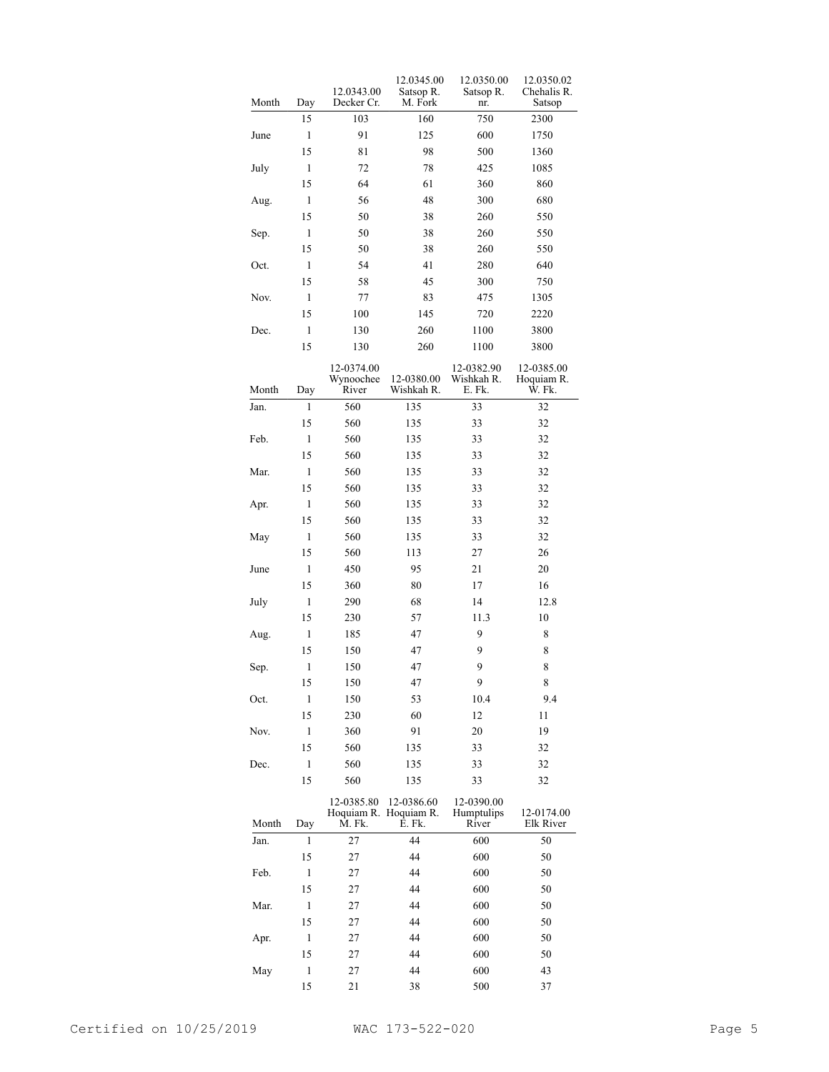|       |       | 12.0343.00                       | 12.0345.00                      | 12.0350.00                         | 12.0350.02                         |
|-------|-------|----------------------------------|---------------------------------|------------------------------------|------------------------------------|
| Month | Day   | Decker Cr.                       | Satsop R.<br>M. Fork            | Satsop R.<br>nr.                   | Chehalis R.<br>Satsop              |
|       | 15    | 103                              | 160                             | 750                                | 2300                               |
| June  | 1     | 91                               | 125                             | 600                                | 1750                               |
|       | 15    | 81                               | 98                              | 500                                | 1360                               |
| July  | 1     | 72                               | 78                              | 425                                | 1085                               |
|       | 15    | 64                               | 61                              | 360                                | 860                                |
| Aug.  | 1     | 56                               | 48                              | 300                                | 680                                |
|       | 15    | 50                               | 38                              | 260                                | 550                                |
| Sep.  | 1     | 50                               | 38                              | 260                                | 550                                |
|       | 15    | 50                               | 38                              | 260                                | 550                                |
| Oct.  | 1     | 54                               | 41                              | 280                                | 640                                |
|       | 15    | 58                               | 45                              | 300                                | 750                                |
| Nov.  | 1     | 77                               | 83                              | 475                                | 1305                               |
|       | 15    | 100                              | 145                             | 720                                | 2220                               |
| Dec.  | 1     | 130                              | 260                             | 1100                               | 3800                               |
|       | 15    | 130                              | 260                             | 1100                               | 3800                               |
|       |       |                                  |                                 |                                    |                                    |
| Month | Day   | 12-0374.00<br>Wynoochee<br>River | 12-0380.00<br>Wishkah R.        | 12-0382.90<br>Wishkah R.<br>E. Fk. | 12-0385.00<br>Hoquiam R.<br>Ŵ. Fk. |
| Jan.  | 1     | 560                              | 135                             | 33                                 | 32                                 |
|       | 15    | 560                              | 135                             | 33                                 | 32                                 |
| Feb.  | 1     | 560                              | 135                             | 33                                 | 32                                 |
|       | 15    | 560                              | 135                             | 33                                 | 32                                 |
| Mar.  | 1     | 560                              | 135                             | 33                                 | 32                                 |
|       | 15    | 560                              | 135                             | 33                                 | 32                                 |
| Apr.  | 1     | 560                              | 135                             | 33                                 | 32                                 |
|       | 15    | 560                              | 135                             | 33                                 | 32                                 |
| May   | 1     | 560                              | 135                             | 33                                 | 32                                 |
|       | 15    | 560                              | 113                             | 27                                 | 26                                 |
| June  | 1     | 450                              | 95                              | 21                                 | 20                                 |
|       | 15    | 360                              | 80                              | 17                                 | 16                                 |
| July  | 1     | 290                              | 68                              | 14                                 | 12.8                               |
|       | 15    | 230                              | 57                              | 11.3                               | 10                                 |
| Aug.  | 1     | 185                              | 47                              | 9                                  | 8                                  |
|       | 15    | 150                              | 47                              | 9                                  | 8                                  |
| Sep.  | 1     | 150                              | 47                              | 9                                  | 8                                  |
|       | 15    | 150                              | 47                              | 9                                  | 8                                  |
| Oct.  | 1     | 150                              | 53                              | 10.4                               | 9.4                                |
|       | 15    | 230                              | 60                              | 12                                 | 11                                 |
| Nov.  | 1     | 360                              | 91                              | 20                                 | 19                                 |
|       | 15    | 560                              | 135                             | 33                                 | 32                                 |
| Dec.  | 1     | 560                              | 135                             | 33                                 | 32                                 |
|       | 15    | 560                              | 135                             | 33                                 | 32                                 |
|       |       | 12-0385.80                       | 12-0386.60                      | 12-0390.00                         |                                    |
| Month | Day   | M. Fk.                           | Hoquiam R. Hoquiam R.<br>E. Fk. | Humptulips<br>River                | 12-0174.00<br>Elk River            |
| Jan.  | 1     | 27                               | 44                              | 600                                | 50                                 |
|       | 15    | 27                               | 44                              | 600                                | 50                                 |
| Feb.  | $\,1$ | 27                               | 44                              | 600                                | 50                                 |
|       | 15    | 27                               | 44                              | 600                                | 50                                 |
| Mar.  | $\,1$ | 27                               | 44                              | 600                                | 50                                 |
|       | 15    | 27                               | 44                              | 600                                | 50                                 |
| Apr.  | $\,1$ | 27                               | 44                              | 600                                | 50                                 |
|       | 15    | 27                               | 44                              | 600                                | 50                                 |
| May   | $\,1$ | 27                               | 44                              | 600                                | 43                                 |
|       | 15    | 21                               | 38                              | 500                                | 37                                 |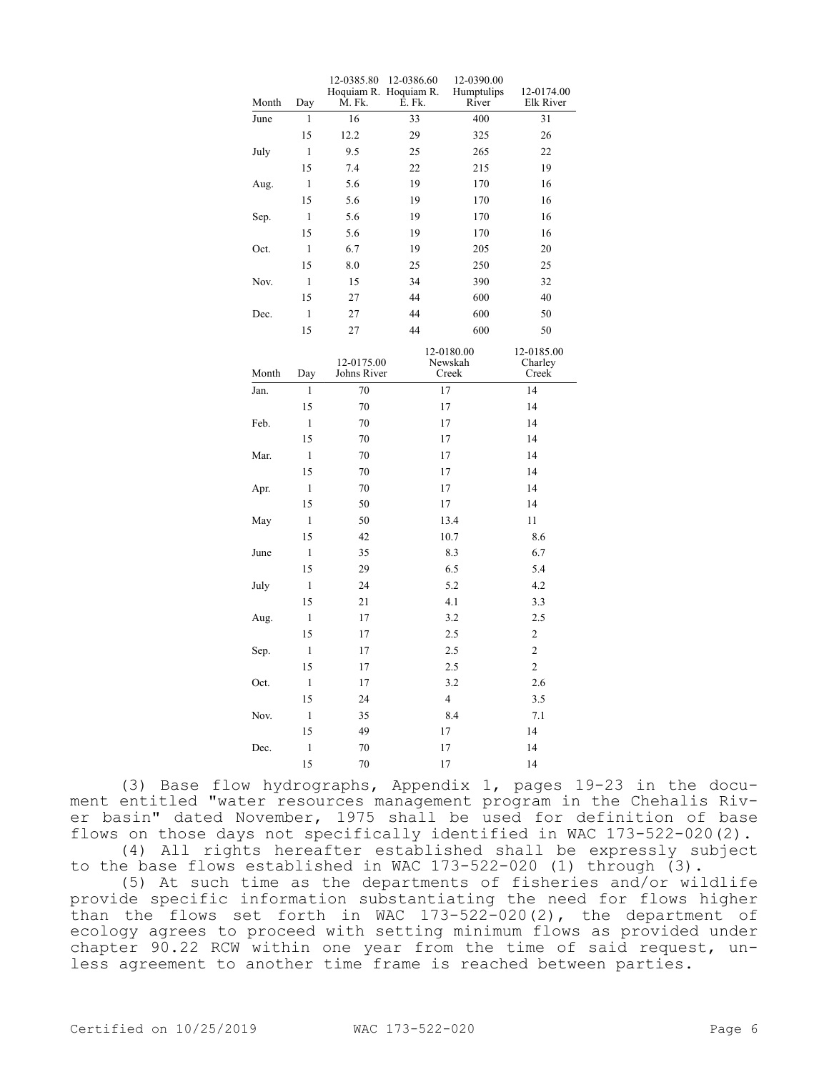| Month | Day          | 12-0385.80<br>Hoquiam R. Hoquiam R.<br>M. Fk. | 12-0386.60<br>E. Fk. | 12-0390.00<br>Humptulips<br>River | 12-0174.00<br>Elk River        |
|-------|--------------|-----------------------------------------------|----------------------|-----------------------------------|--------------------------------|
| June  | 1            | 16                                            | 33                   | 400                               | 31                             |
|       | 15           | 12.2                                          | 29                   | 325                               | 26                             |
| July  | $\mathbf{1}$ | 9.5                                           | 25                   | 265                               | 22                             |
|       | 15           | 7.4                                           | 22                   | 215                               | 19                             |
| Aug.  | 1            | 5.6                                           | 19                   | 170                               | 16                             |
|       | 15           | 5.6                                           | 19                   | 170                               | 16                             |
| Sep.  | $\mathbf{1}$ | 5.6                                           | 19                   | 170                               | 16                             |
|       | 15           | 5.6                                           | 19                   | 170                               | 16                             |
| Oct.  | $\mathbf{1}$ | 6.7                                           | 19                   | 205                               | 20                             |
|       | 15           | 8.0                                           | 25                   | 250                               | 25                             |
| Nov.  | $\mathbf{1}$ | 15                                            | 34                   | 390                               | 32                             |
|       | 15           | 27                                            | 44                   | 600                               | 40                             |
| Dec.  | 1            | 27                                            | 44                   | 600                               | 50                             |
|       | 15           | 27                                            | 44                   | 600                               | 50                             |
| Month | Day          | 12-0175.00<br>Johns River                     |                      | 12-0180.00<br>Newskah<br>Creek    | 12-0185.00<br>Charley<br>Creek |
| Jan.  | 1            | 70                                            |                      | 17                                | 14                             |
|       | 15           | 70                                            |                      | 17                                | 14                             |
| Feb.  | $\mathbf{1}$ | 70                                            |                      | 17                                | 14                             |
|       | 15           | 70                                            |                      | 17                                | 14                             |
| Mar.  | $\mathbf{1}$ | 70                                            |                      | 17                                | 14                             |
|       | 15           | 70                                            |                      | 17                                | 14                             |
| Apr.  | $\mathbf{1}$ | 70                                            |                      | 17                                | 14                             |
|       | 15           | 50                                            |                      | 17                                | 14                             |
| May   | 1            | 50                                            |                      | 13.4                              | 11                             |
|       | 15           | 42                                            |                      | 10.7                              | 8.6                            |
| June  | $\mathbf{1}$ | 35                                            |                      | 8.3                               | 6.7                            |
|       | 15           | 29                                            |                      | 6.5                               | 5.4                            |
| July  | $\mathbf{1}$ | 24                                            |                      | 5.2                               | 4.2                            |
|       | 15           | 21                                            |                      | 4.1                               | 3.3                            |
| Aug.  | $\mathbf{1}$ | 17                                            |                      | 3.2                               | 2.5                            |
|       | 15           | 17                                            |                      | 2.5                               | $\overline{c}$                 |
| Sep.  | $\mathbf{1}$ | 17                                            |                      | 2.5                               | $\overline{2}$                 |
|       | 15           | 17                                            |                      | 2.5                               | $\overline{2}$                 |
| Oct.  | $\mathbf{1}$ | 17                                            |                      | 3.2                               | 2.6                            |
|       | 15           | 24                                            |                      | $\overline{4}$                    | 3.5                            |
| Nov.  | $\mathbf{1}$ | 35                                            |                      | 8.4                               | 7.1                            |
|       | 15           | 49                                            |                      | 17                                | 14                             |
| Dec.  | $\mathbf{1}$ | 70                                            |                      | 17                                | 14                             |
|       | 15           | 70                                            |                      | 17                                | 14                             |

(3) Base flow hydrographs, Appendix 1, pages 19-23 in the document entitled "water resources management program in the Chehalis River basin" dated November, 1975 shall be used for definition of base flows on those days not specifically identified in WAC 173-522-020(2). (4) All rights hereafter established shall be expressly subject

to the base flows established in WAC 173-522-020 (1) through (3). (5) At such time as the departments of fisheries and/or wildlife provide specific information substantiating the need for flows higher than the flows set forth in WAC 173-522-020(2), the department of ecology agrees to proceed with setting minimum flows as provided under chapter 90.22 RCW within one year from the time of said request, unless agreement to another time frame is reached between parties.